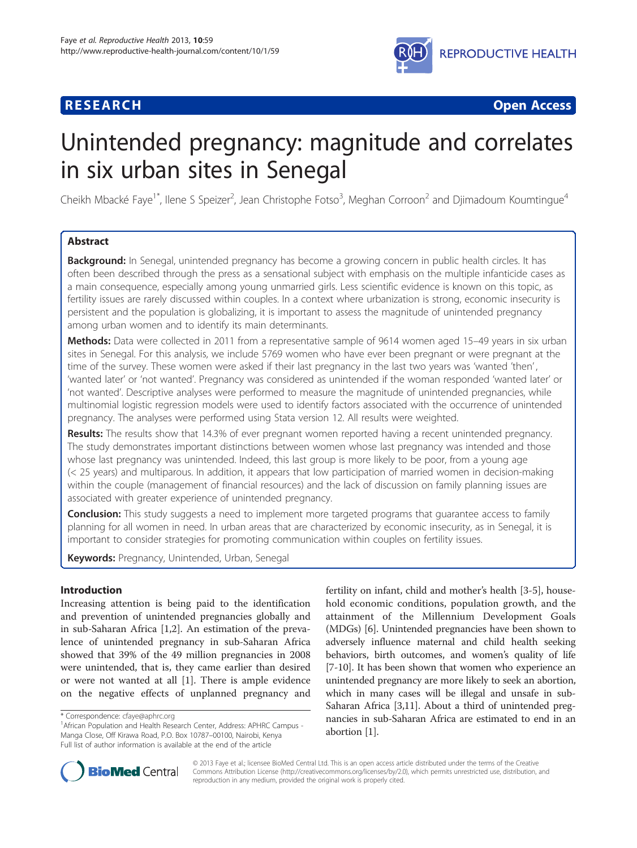# **RESEARCH CHEAR CHEAR CHEAR CHEAR CHEAR CHEAR CHEAR CHEAR CHEAR CHEAR CHEAR CHEAR CHEAR CHEAR CHEAR CHEAR CHEAR**



# Unintended pregnancy: magnitude and correlates in six urban sites in Senegal

Cheikh Mbacké Faye<sup>1\*</sup>, Ilene S Speizer<sup>2</sup>, Jean Christophe Fotso<sup>3</sup>, Meghan Corroon<sup>2</sup> and Djimadoum Koumtingue<sup>4</sup>

# Abstract

Background: In Senegal, unintended pregnancy has become a growing concern in public health circles. It has often been described through the press as a sensational subject with emphasis on the multiple infanticide cases as a main consequence, especially among young unmarried girls. Less scientific evidence is known on this topic, as fertility issues are rarely discussed within couples. In a context where urbanization is strong, economic insecurity is persistent and the population is globalizing, it is important to assess the magnitude of unintended pregnancy among urban women and to identify its main determinants.

Methods: Data were collected in 2011 from a representative sample of 9614 women aged 15-49 years in six urban sites in Senegal. For this analysis, we include 5769 women who have ever been pregnant or were pregnant at the time of the survey. These women were asked if their last pregnancy in the last two years was 'wanted 'then', 'wanted later' or 'not wanted'. Pregnancy was considered as unintended if the woman responded 'wanted later' or 'not wanted'. Descriptive analyses were performed to measure the magnitude of unintended pregnancies, while multinomial logistic regression models were used to identify factors associated with the occurrence of unintended pregnancy. The analyses were performed using Stata version 12. All results were weighted.

Results: The results show that 14.3% of ever pregnant women reported having a recent unintended pregnancy. The study demonstrates important distinctions between women whose last pregnancy was intended and those whose last pregnancy was unintended. Indeed, this last group is more likely to be poor, from a young age (< 25 years) and multiparous. In addition, it appears that low participation of married women in decision-making within the couple (management of financial resources) and the lack of discussion on family planning issues are associated with greater experience of unintended pregnancy.

**Conclusion:** This study suggests a need to implement more targeted programs that guarantee access to family planning for all women in need. In urban areas that are characterized by economic insecurity, as in Senegal, it is important to consider strategies for promoting communication within couples on fertility issues.

Keywords: Pregnancy, Unintended, Urban, Senegal

# Introduction

Increasing attention is being paid to the identification and prevention of unintended pregnancies globally and in sub-Saharan Africa [[1](#page-8-0),[2](#page-8-0)]. An estimation of the prevalence of unintended pregnancy in sub-Saharan Africa showed that 39% of the 49 million pregnancies in 2008 were unintended, that is, they came earlier than desired or were not wanted at all [\[1\]](#page-8-0). There is ample evidence on the negative effects of unplanned pregnancy and fertility on infant, child and mother's health [\[3](#page-8-0)-[5\]](#page-8-0), household economic conditions, population growth, and the attainment of the Millennium Development Goals (MDGs) [\[6\]](#page-8-0). Unintended pregnancies have been shown to adversely influence maternal and child health seeking behaviors, birth outcomes, and women's quality of life [[7-10\]](#page-8-0). It has been shown that women who experience an unintended pregnancy are more likely to seek an abortion, which in many cases will be illegal and unsafe in sub-Saharan Africa [\[3,11\]](#page-8-0). About a third of unintended pregnancies in sub-Saharan Africa are estimated to end in an abortion [\[1](#page-8-0)].



© 2013 Faye et al.; licensee BioMed Central Ltd. This is an open access article distributed under the terms of the Creative Commons Attribution License [\(http://creativecommons.org/licenses/by/2.0\)](http://creativecommons.org/licenses/by/2.0), which permits unrestricted use, distribution, and reproduction in any medium, provided the original work is properly cited.

<sup>\*</sup> Correspondence: [cfaye@aphrc.org](mailto:cfaye@aphrc.org) <sup>1</sup>

<sup>&</sup>lt;sup>1</sup> African Population and Health Research Center, Address: APHRC Campus -Manga Close, Off Kirawa Road, P.O. Box 10787–00100, Nairobi, Kenya Full list of author information is available at the end of the article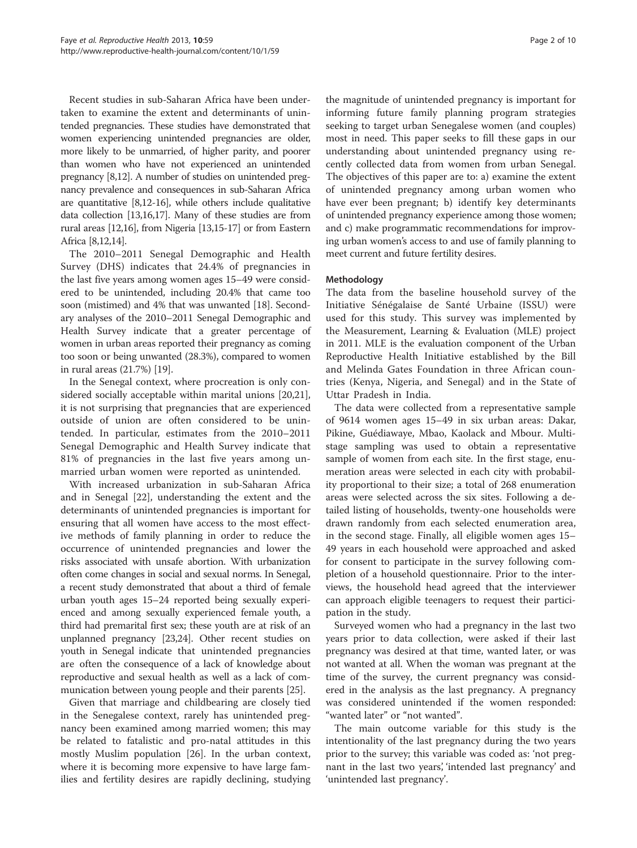Recent studies in sub-Saharan Africa have been undertaken to examine the extent and determinants of unintended pregnancies. These studies have demonstrated that women experiencing unintended pregnancies are older, more likely to be unmarried, of higher parity, and poorer than women who have not experienced an unintended pregnancy [[8,12\]](#page-8-0). A number of studies on unintended pregnancy prevalence and consequences in sub-Saharan Africa are quantitative [\[8,12-16\]](#page-8-0), while others include qualitative data collection [[13,16,17](#page-8-0)]. Many of these studies are from rural areas [[12,16\]](#page-8-0), from Nigeria [[13,15](#page-8-0)-[17](#page-8-0)] or from Eastern Africa [\[8,12,14\]](#page-8-0).

The 2010–2011 Senegal Demographic and Health Survey (DHS) indicates that 24.4% of pregnancies in the last five years among women ages 15–49 were considered to be unintended, including 20.4% that came too soon (mistimed) and 4% that was unwanted [\[18\]](#page-9-0). Secondary analyses of the 2010–2011 Senegal Demographic and Health Survey indicate that a greater percentage of women in urban areas reported their pregnancy as coming too soon or being unwanted (28.3%), compared to women in rural areas (21.7%) [\[19\]](#page-9-0).

In the Senegal context, where procreation is only considered socially acceptable within marital unions [\[20,21](#page-9-0)], it is not surprising that pregnancies that are experienced outside of union are often considered to be unintended. In particular, estimates from the 2010–2011 Senegal Demographic and Health Survey indicate that 81% of pregnancies in the last five years among unmarried urban women were reported as unintended.

With increased urbanization in sub-Saharan Africa and in Senegal [[22](#page-9-0)], understanding the extent and the determinants of unintended pregnancies is important for ensuring that all women have access to the most effective methods of family planning in order to reduce the occurrence of unintended pregnancies and lower the risks associated with unsafe abortion. With urbanization often come changes in social and sexual norms. In Senegal, a recent study demonstrated that about a third of female urban youth ages 15–24 reported being sexually experienced and among sexually experienced female youth, a third had premarital first sex; these youth are at risk of an unplanned pregnancy [[23,24\]](#page-9-0). Other recent studies on youth in Senegal indicate that unintended pregnancies are often the consequence of a lack of knowledge about reproductive and sexual health as well as a lack of communication between young people and their parents [[25\]](#page-9-0).

Given that marriage and childbearing are closely tied in the Senegalese context, rarely has unintended pregnancy been examined among married women; this may be related to fatalistic and pro-natal attitudes in this mostly Muslim population [\[26](#page-9-0)]. In the urban context, where it is becoming more expensive to have large families and fertility desires are rapidly declining, studying

the magnitude of unintended pregnancy is important for informing future family planning program strategies seeking to target urban Senegalese women (and couples) most in need. This paper seeks to fill these gaps in our understanding about unintended pregnancy using recently collected data from women from urban Senegal. The objectives of this paper are to: a) examine the extent of unintended pregnancy among urban women who have ever been pregnant; b) identify key determinants of unintended pregnancy experience among those women; and c) make programmatic recommendations for improving urban women's access to and use of family planning to meet current and future fertility desires.

# Methodology

The data from the baseline household survey of the Initiative Sénégalaise de Santé Urbaine (ISSU) were used for this study. This survey was implemented by the Measurement, Learning & Evaluation (MLE) project in 2011. MLE is the evaluation component of the Urban Reproductive Health Initiative established by the Bill and Melinda Gates Foundation in three African countries (Kenya, Nigeria, and Senegal) and in the State of Uttar Pradesh in India.

The data were collected from a representative sample of 9614 women ages 15–49 in six urban areas: Dakar, Pikine, Guédiawaye, Mbao, Kaolack and Mbour. Multistage sampling was used to obtain a representative sample of women from each site. In the first stage, enumeration areas were selected in each city with probability proportional to their size; a total of 268 enumeration areas were selected across the six sites. Following a detailed listing of households, twenty-one households were drawn randomly from each selected enumeration area, in the second stage. Finally, all eligible women ages 15– 49 years in each household were approached and asked for consent to participate in the survey following completion of a household questionnaire. Prior to the interviews, the household head agreed that the interviewer can approach eligible teenagers to request their participation in the study.

Surveyed women who had a pregnancy in the last two years prior to data collection, were asked if their last pregnancy was desired at that time, wanted later, or was not wanted at all. When the woman was pregnant at the time of the survey, the current pregnancy was considered in the analysis as the last pregnancy. A pregnancy was considered unintended if the women responded: "wanted later" or "not wanted".

The main outcome variable for this study is the intentionality of the last pregnancy during the two years prior to the survey; this variable was coded as: 'not pregnant in the last two years', 'intended last pregnancy' and 'unintended last pregnancy'.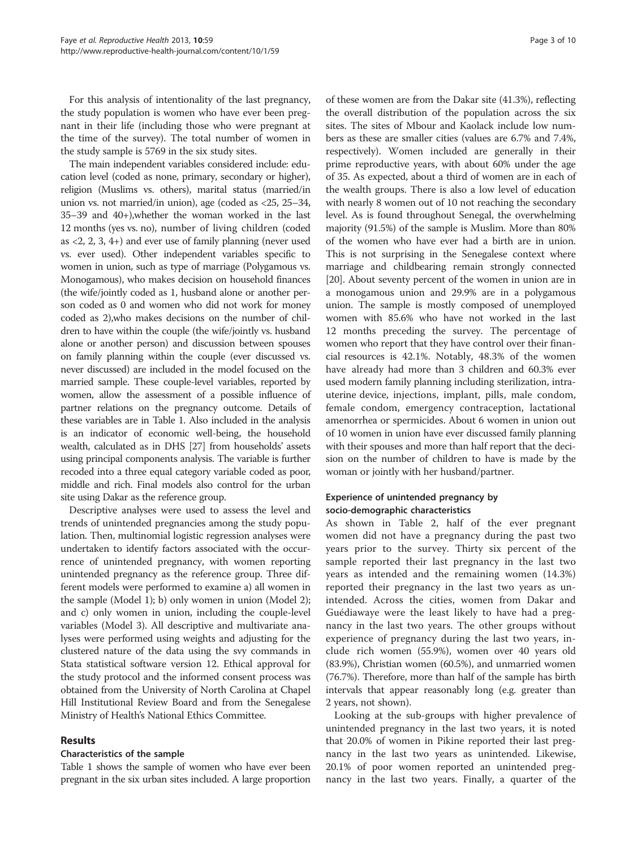For this analysis of intentionality of the last pregnancy, the study population is women who have ever been pregnant in their life (including those who were pregnant at the time of the survey). The total number of women in the study sample is 5769 in the six study sites.

The main independent variables considered include: education level (coded as none, primary, secondary or higher), religion (Muslims vs. others), marital status (married/in union vs. not married/in union), age (coded as <25, 25–34, 35–39 and 40+),whether the woman worked in the last 12 months (yes vs. no), number of living children (coded as  $(2, 2, 3, 4+)$  and ever use of family planning (never used vs. ever used). Other independent variables specific to women in union, such as type of marriage (Polygamous vs. Monogamous), who makes decision on household finances (the wife/jointly coded as 1, husband alone or another person coded as 0 and women who did not work for money coded as 2),who makes decisions on the number of children to have within the couple (the wife/jointly vs. husband alone or another person) and discussion between spouses on family planning within the couple (ever discussed vs. never discussed) are included in the model focused on the married sample. These couple-level variables, reported by women, allow the assessment of a possible influence of partner relations on the pregnancy outcome. Details of these variables are in Table [1.](#page-3-0) Also included in the analysis is an indicator of economic well-being, the household wealth, calculated as in DHS [[27](#page-9-0)] from households' assets using principal components analysis. The variable is further recoded into a three equal category variable coded as poor, middle and rich. Final models also control for the urban site using Dakar as the reference group.

Descriptive analyses were used to assess the level and trends of unintended pregnancies among the study population. Then, multinomial logistic regression analyses were undertaken to identify factors associated with the occurrence of unintended pregnancy, with women reporting unintended pregnancy as the reference group. Three different models were performed to examine a) all women in the sample (Model 1); b) only women in union (Model 2); and c) only women in union, including the couple-level variables (Model 3). All descriptive and multivariate analyses were performed using weights and adjusting for the clustered nature of the data using the svy commands in Stata statistical software version 12. Ethical approval for the study protocol and the informed consent process was obtained from the University of North Carolina at Chapel Hill Institutional Review Board and from the Senegalese Ministry of Health's National Ethics Committee.

# Results

### Characteristics of the sample

Table [1](#page-3-0) shows the sample of women who have ever been pregnant in the six urban sites included. A large proportion

of these women are from the Dakar site (41.3%), reflecting the overall distribution of the population across the six sites. The sites of Mbour and Kaolack include low numbers as these are smaller cities (values are 6.7% and 7.4%, respectively). Women included are generally in their prime reproductive years, with about 60% under the age of 35. As expected, about a third of women are in each of the wealth groups. There is also a low level of education with nearly 8 women out of 10 not reaching the secondary level. As is found throughout Senegal, the overwhelming majority (91.5%) of the sample is Muslim. More than 80% of the women who have ever had a birth are in union. This is not surprising in the Senegalese context where marriage and childbearing remain strongly connected [[20](#page-9-0)]. About seventy percent of the women in union are in a monogamous union and 29.9% are in a polygamous union. The sample is mostly composed of unemployed women with 85.6% who have not worked in the last 12 months preceding the survey. The percentage of women who report that they have control over their financial resources is 42.1%. Notably, 48.3% of the women have already had more than 3 children and 60.3% ever used modern family planning including sterilization, intrauterine device, injections, implant, pills, male condom, female condom, emergency contraception, lactational amenorrhea or spermicides. About 6 women in union out of 10 women in union have ever discussed family planning with their spouses and more than half report that the decision on the number of children to have is made by the woman or jointly with her husband/partner.

# Experience of unintended pregnancy by socio-demographic characteristics

As shown in Table [2](#page-4-0), half of the ever pregnant women did not have a pregnancy during the past two years prior to the survey. Thirty six percent of the sample reported their last pregnancy in the last two years as intended and the remaining women (14.3%) reported their pregnancy in the last two years as unintended. Across the cities, women from Dakar and Guédiawaye were the least likely to have had a pregnancy in the last two years. The other groups without experience of pregnancy during the last two years, include rich women (55.9%), women over 40 years old (83.9%), Christian women (60.5%), and unmarried women (76.7%). Therefore, more than half of the sample has birth intervals that appear reasonably long (e.g. greater than 2 years, not shown).

Looking at the sub-groups with higher prevalence of unintended pregnancy in the last two years, it is noted that 20.0% of women in Pikine reported their last pregnancy in the last two years as unintended. Likewise, 20.1% of poor women reported an unintended pregnancy in the last two years. Finally, a quarter of the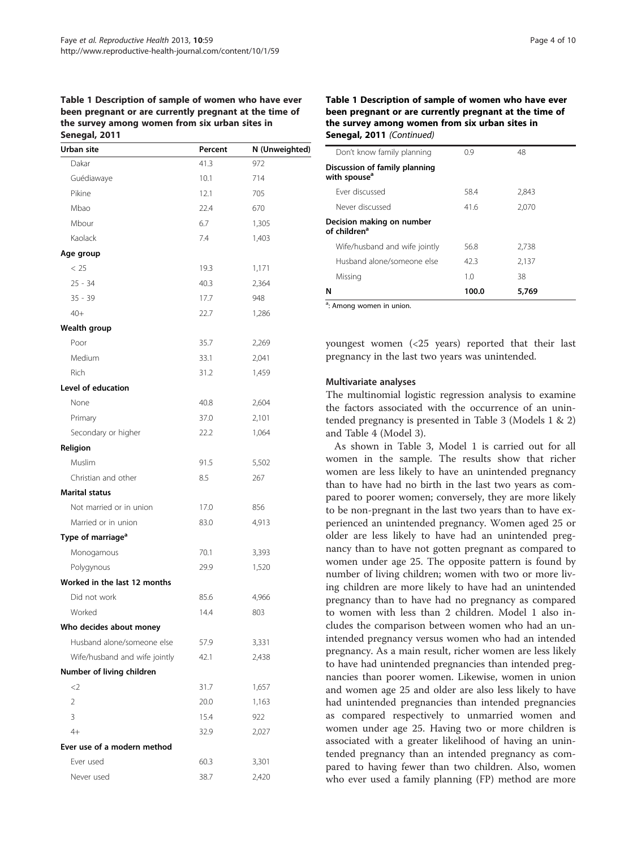<span id="page-3-0"></span>Table 1 Description of sample of women who have ever been pregnant or are currently pregnant at the time of the survey among women from six urban sites in Senegal, 2011

| Urban site                    | Percent | N (Unweighted) |
|-------------------------------|---------|----------------|
| Dakar                         | 41.3    | 972            |
| Guédiawaye                    | 10.1    | 714            |
| Pikine                        | 12.1    | 705            |
| Mbao                          | 22.4    | 670            |
| Mbour                         | 6.7     | 1,305          |
| Kaolack                       | 7.4     | 1,403          |
| Age group                     |         |                |
| < 25                          | 19.3    | 1,171          |
| $25 - 34$                     | 40.3    | 2,364          |
| $35 - 39$                     | 17.7    | 948            |
| $40+$                         | 22.7    | 1,286          |
| Wealth group                  |         |                |
| Poor                          | 35.7    | 2,269          |
| Medium                        | 33.1    | 2,041          |
| Rich                          | 31.2    | 1,459          |
| Level of education            |         |                |
| None                          | 40.8    | 2,604          |
| Primary                       | 37.0    | 2,101          |
| Secondary or higher           | 22.2    | 1,064          |
| Religion                      |         |                |
| Muslim                        | 91.5    | 5,502          |
| Christian and other           | 8.5     | 267            |
| Marital status                |         |                |
| Not married or in union       | 17.0    | 856            |
| Married or in union           | 83.0    | 4,913          |
| Type of marriage <sup>a</sup> |         |                |
| Monogamous                    | 70.1    | 3,393          |
| Polygynous                    | 29.9    | 1,520          |
| Worked in the last 12 months  |         |                |
| Did not work                  | 85.6    | 4,966          |
| Worked                        | 14.4    | 803            |
| Who decides about money       |         |                |
| Husband alone/someone else    | 57.9    | 3,331          |
| Wife/husband and wife jointly | 42.1    | 2,438          |
| Number of living children     |         |                |
| $<$ 2                         | 31.7    | 1,657          |
| $\overline{2}$                | 20.0    | 1,163          |
| 3                             | 15.4    | 922            |
| $4+$                          | 32.9    | 2,027          |
| Ever use of a modern method   |         |                |
| Ever used                     | 60.3    | 3,301          |
| Never used                    | 38.7    | 2,420          |

# Table 1 Description of sample of women who have ever been pregnant or are currently pregnant at the time of the survey among women from six urban sites in Senegal, 2011 (Continued)

| $\sim$                                                    |       |       |  |
|-----------------------------------------------------------|-------|-------|--|
| N                                                         | 100.0 | 5,769 |  |
| Missing                                                   | 1.0   | 38    |  |
| Husband alone/someone else                                | 42.3  | 2,137 |  |
| Wife/husband and wife jointly                             | 56.8  | 2,738 |  |
| Decision making on number<br>of children <sup>a</sup>     |       |       |  |
| Never discussed                                           | 41.6  | 2.070 |  |
| Ever discussed                                            | 58.4  | 2,843 |  |
| Discussion of family planning<br>with spouse <sup>a</sup> |       |       |  |
| Don't know family planning                                | 0.9   | 48    |  |
|                                                           |       |       |  |

<sup>a</sup>: Among women in union.

youngest women (<25 years) reported that their last pregnancy in the last two years was unintended.

### Multivariate analyses

The multinomial logistic regression analysis to examine the factors associated with the occurrence of an unintended pregnancy is presented in Table [3](#page-6-0) (Models 1 & 2) and Table [4](#page-7-0) (Model 3).

As shown in Table [3](#page-6-0), Model 1 is carried out for all women in the sample. The results show that richer women are less likely to have an unintended pregnancy than to have had no birth in the last two years as compared to poorer women; conversely, they are more likely to be non-pregnant in the last two years than to have experienced an unintended pregnancy. Women aged 25 or older are less likely to have had an unintended pregnancy than to have not gotten pregnant as compared to women under age 25. The opposite pattern is found by number of living children; women with two or more living children are more likely to have had an unintended pregnancy than to have had no pregnancy as compared to women with less than 2 children. Model 1 also includes the comparison between women who had an unintended pregnancy versus women who had an intended pregnancy. As a main result, richer women are less likely to have had unintended pregnancies than intended pregnancies than poorer women. Likewise, women in union and women age 25 and older are also less likely to have had unintended pregnancies than intended pregnancies as compared respectively to unmarried women and women under age 25. Having two or more children is associated with a greater likelihood of having an unintended pregnancy than an intended pregnancy as compared to having fewer than two children. Also, women who ever used a family planning (FP) method are more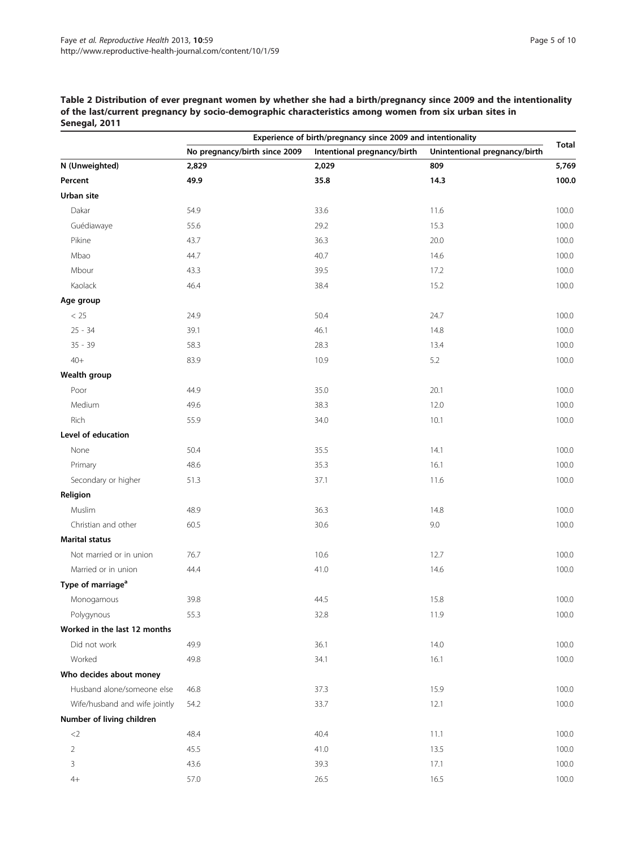<span id="page-4-0"></span>Table 2 Distribution of ever pregnant women by whether she had a birth/pregnancy since 2009 and the intentionality of the last/current pregnancy by socio-demographic characteristics among women from six urban sites in Senegal, 2011

|                               |                               | Experience of birth/pregnancy since 2009 and intentionality |                               |              |
|-------------------------------|-------------------------------|-------------------------------------------------------------|-------------------------------|--------------|
|                               | No pregnancy/birth since 2009 | Intentional pregnancy/birth                                 | Unintentional pregnancy/birth | <b>Total</b> |
| N (Unweighted)                | 2,829                         | 2,029                                                       | 809                           | 5,769        |
| Percent                       | 49.9                          | 35.8                                                        | 14.3                          | 100.0        |
| Urban site                    |                               |                                                             |                               |              |
| Dakar                         | 54.9                          | 33.6                                                        | 11.6                          | 100.0        |
| Guédiawaye                    | 55.6                          | 29.2                                                        | 15.3                          | 100.0        |
| Pikine                        | 43.7                          | 36.3                                                        | 20.0                          | 100.0        |
| Mbao                          | 44.7                          | 40.7                                                        | 14.6                          | 100.0        |
| Mbour                         | 43.3                          | 39.5                                                        | 17.2                          | 100.0        |
| Kaolack                       | 46.4                          | 38.4                                                        | 15.2                          | 100.0        |
| Age group                     |                               |                                                             |                               |              |
| < 25                          | 24.9                          | 50.4                                                        | 24.7                          | 100.0        |
| $25 - 34$                     | 39.1                          | 46.1                                                        | 14.8                          | 100.0        |
| $35 - 39$                     | 58.3                          | 28.3                                                        | 13.4                          | 100.0        |
| $40+$                         | 83.9                          | 10.9                                                        | 5.2                           | 100.0        |
| Wealth group                  |                               |                                                             |                               |              |
| Poor                          | 44.9                          | 35.0                                                        | 20.1                          | 100.0        |
| Medium                        | 49.6                          | 38.3                                                        | 12.0                          | 100.0        |
| Rich                          | 55.9                          | 34.0                                                        | 10.1                          | 100.0        |
| Level of education            |                               |                                                             |                               |              |
| None                          | 50.4                          | 35.5                                                        | 14.1                          | 100.0        |
| Primary                       | 48.6                          | 35.3                                                        | 16.1                          | 100.0        |
| Secondary or higher           | 51.3                          | 37.1                                                        | 11.6                          | 100.0        |
| Religion                      |                               |                                                             |                               |              |
| Muslim                        | 48.9                          | 36.3                                                        | 14.8                          | 100.0        |
| Christian and other           | 60.5                          | 30.6                                                        | 9.0                           | 100.0        |
| <b>Marital status</b>         |                               |                                                             |                               |              |
| Not married or in union       | 76.7                          | 10.6                                                        | 12.7                          | 100.0        |
| Married or in union           | 44.4                          | 41.0                                                        | 14.6                          | 100.0        |
| Type of marriage <sup>a</sup> |                               |                                                             |                               |              |
| Monogamous                    | 39.8                          | 44.5                                                        | 15.8                          | 100.0        |
| Polygynous                    | 55.3                          | 32.8                                                        | 11.9                          | 100.0        |
| Worked in the last 12 months  |                               |                                                             |                               |              |
| Did not work                  | 49.9                          | 36.1                                                        | 14.0                          | 100.0        |
| Worked                        | 49.8                          | 34.1                                                        | 16.1                          | 100.0        |
| Who decides about money       |                               |                                                             |                               |              |
| Husband alone/someone else    | 46.8                          | 37.3                                                        | 15.9                          | 100.0        |
| Wife/husband and wife jointly | 54.2                          | 33.7                                                        | 12.1                          | 100.0        |
| Number of living children     |                               |                                                             |                               |              |
| ${<}2$                        | 48.4                          | 40.4                                                        | 11.1                          | 100.0        |
| $\overline{2}$                | 45.5                          | 41.0                                                        | 13.5                          | 100.0        |
| 3                             | 43.6                          | 39.3                                                        | 17.1                          | 100.0        |
| $4+$                          | 57.0                          | 26.5                                                        | 16.5                          | 100.0        |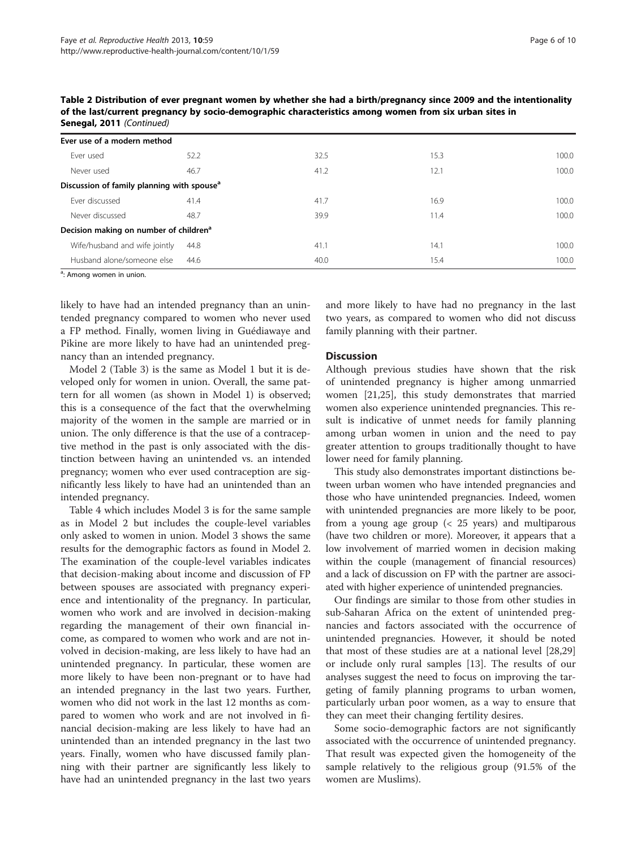| Senegal, 2011 (Continued)                              |      |      |      |       |
|--------------------------------------------------------|------|------|------|-------|
| Ever use of a modern method                            |      |      |      |       |
| Ever used                                              | 52.2 | 32.5 | 15.3 | 100.0 |
| Never used                                             | 46.7 | 41.2 | 12.1 | 100.0 |
| Discussion of family planning with spouse <sup>a</sup> |      |      |      |       |
| Ever discussed                                         | 41.4 | 41.7 | 16.9 | 100.0 |
| Never discussed                                        | 48.7 | 39.9 | 11.4 | 100.0 |
| Decision making on number of children <sup>a</sup>     |      |      |      |       |
| Wife/husband and wife jointly                          | 44.8 | 41.1 | 14.1 | 100.0 |
| Husband alone/someone else                             | 44.6 | 40.0 | 15.4 | 100.0 |

Table 2 Distribution of ever pregnant women by whether she had a birth/pregnancy since 2009 and the intentionality of the last/current pregnancy by socio-demographic characteristics among women from six urban sites in

<sup>a</sup>: Among women in union.

likely to have had an intended pregnancy than an unintended pregnancy compared to women who never used a FP method. Finally, women living in Guédiawaye and Pikine are more likely to have had an unintended pregnancy than an intended pregnancy.

Model 2 (Table [3](#page-6-0)) is the same as Model 1 but it is developed only for women in union. Overall, the same pattern for all women (as shown in Model 1) is observed; this is a consequence of the fact that the overwhelming majority of the women in the sample are married or in union. The only difference is that the use of a contraceptive method in the past is only associated with the distinction between having an unintended vs. an intended pregnancy; women who ever used contraception are significantly less likely to have had an unintended than an intended pregnancy.

Table [4](#page-7-0) which includes Model 3 is for the same sample as in Model 2 but includes the couple-level variables only asked to women in union. Model 3 shows the same results for the demographic factors as found in Model 2. The examination of the couple-level variables indicates that decision-making about income and discussion of FP between spouses are associated with pregnancy experience and intentionality of the pregnancy. In particular, women who work and are involved in decision-making regarding the management of their own financial income, as compared to women who work and are not involved in decision-making, are less likely to have had an unintended pregnancy. In particular, these women are more likely to have been non-pregnant or to have had an intended pregnancy in the last two years. Further, women who did not work in the last 12 months as compared to women who work and are not involved in financial decision-making are less likely to have had an unintended than an intended pregnancy in the last two years. Finally, women who have discussed family planning with their partner are significantly less likely to have had an unintended pregnancy in the last two years

and more likely to have had no pregnancy in the last two years, as compared to women who did not discuss family planning with their partner.

### **Discussion**

Although previous studies have shown that the risk of unintended pregnancy is higher among unmarried women [[21](#page-9-0),[25](#page-9-0)], this study demonstrates that married women also experience unintended pregnancies. This result is indicative of unmet needs for family planning among urban women in union and the need to pay greater attention to groups traditionally thought to have lower need for family planning.

This study also demonstrates important distinctions between urban women who have intended pregnancies and those who have unintended pregnancies. Indeed, women with unintended pregnancies are more likely to be poor, from a young age group (< 25 years) and multiparous (have two children or more). Moreover, it appears that a low involvement of married women in decision making within the couple (management of financial resources) and a lack of discussion on FP with the partner are associated with higher experience of unintended pregnancies.

Our findings are similar to those from other studies in sub-Saharan Africa on the extent of unintended pregnancies and factors associated with the occurrence of unintended pregnancies. However, it should be noted that most of these studies are at a national level [[28](#page-9-0),[29](#page-9-0)] or include only rural samples [[13](#page-8-0)]. The results of our analyses suggest the need to focus on improving the targeting of family planning programs to urban women, particularly urban poor women, as a way to ensure that they can meet their changing fertility desires.

Some socio-demographic factors are not significantly associated with the occurrence of unintended pregnancy. That result was expected given the homogeneity of the sample relatively to the religious group (91.5% of the women are Muslims).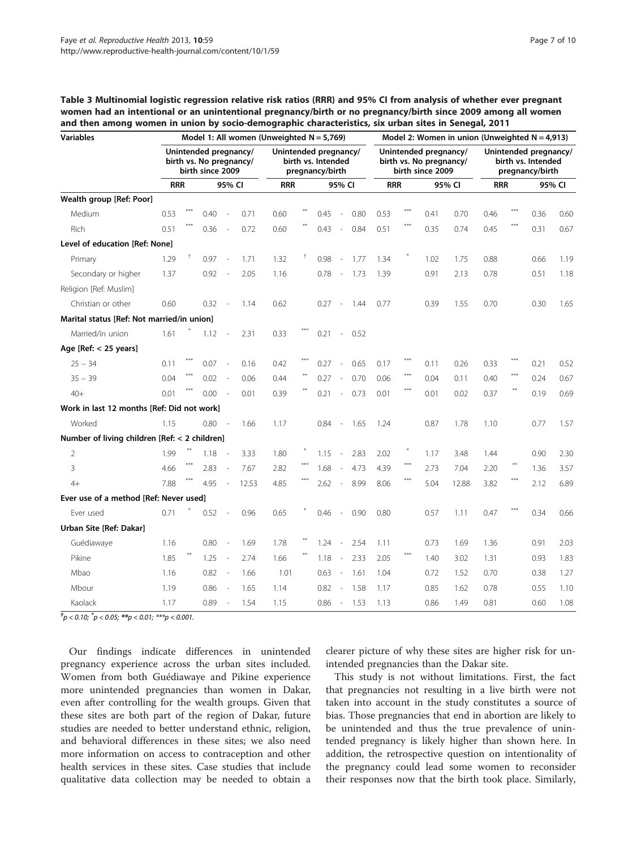<span id="page-6-0"></span>Table 3 Multinomial logistic regression relative risk ratios (RRR) and 95% CI from analysis of whether ever pregnant women had an intentional or an unintentional pregnancy/birth or no pregnancy/birth since 2009 among all women and then among women in union by socio-demographic characteristics, six urban sites in Senegal, 2011

| <b>Variables</b>                              |            | Model 1: All women (Unweighted $N = 5,769$ )                         |      |                          |       |            |                                                                |      |                          |      |                                                                      | Model 2: Women in union (Unweighted $N = 4,913$ ) |        |       |                                                                |       |        |      |
|-----------------------------------------------|------------|----------------------------------------------------------------------|------|--------------------------|-------|------------|----------------------------------------------------------------|------|--------------------------|------|----------------------------------------------------------------------|---------------------------------------------------|--------|-------|----------------------------------------------------------------|-------|--------|------|
|                                               |            | Unintended pregnancy/<br>birth vs. No pregnancy/<br>birth since 2009 |      |                          |       |            | Unintended pregnancy/<br>birth vs. Intended<br>pregnancy/birth |      |                          |      | Unintended pregnancy/<br>birth vs. No pregnancy/<br>birth since 2009 |                                                   |        |       | Unintended pregnancy/<br>birth vs. Intended<br>pregnancy/birth |       |        |      |
|                                               | <b>RRR</b> |                                                                      |      | 95% CI                   |       | <b>RRR</b> | 95% CI                                                         |      |                          |      | <b>RRR</b>                                                           |                                                   | 95% CI |       | <b>RRR</b>                                                     |       | 95% CI |      |
| Wealth group [Ref: Poor]                      |            |                                                                      |      |                          |       |            |                                                                |      |                          |      |                                                                      |                                                   |        |       |                                                                |       |        |      |
| Medium                                        | 0.53       |                                                                      | 0.40 |                          | 0.71  | 0.60       |                                                                | 0.45 | $\overline{\phantom{a}}$ | 0.80 | 0.53                                                                 | ***                                               | 0.41   | 0.70  | 0.46                                                           |       | 0.36   | 0.60 |
| Rich                                          | 0.51       |                                                                      | 0.36 | $\overline{\phantom{a}}$ | 0.72  | 0.60       |                                                                | 0.43 | $\sim$                   | 0.84 | 0.51                                                                 | $***$                                             | 0.35   | 0.74  | 0.45                                                           | $***$ | 0.31   | 0.67 |
| Level of education [Ref: None]                |            |                                                                      |      |                          |       |            |                                                                |      |                          |      |                                                                      |                                                   |        |       |                                                                |       |        |      |
| Primary                                       | 1.29       | Ť                                                                    | 0.97 |                          | 1.71  | 1.32       | Ť                                                              | 0.98 | $\overline{\phantom{a}}$ | 1.77 | 1.34                                                                 |                                                   | 1.02   | 1.75  | 0.88                                                           |       | 0.66   | 1.19 |
| Secondary or higher                           | 1.37       |                                                                      | 0.92 |                          | 2.05  | 1.16       |                                                                | 0.78 | $\overline{\phantom{a}}$ | 1.73 | 1.39                                                                 |                                                   | 0.91   | 2.13  | 0.78                                                           |       | 0.51   | 1.18 |
| Religion [Ref: Muslim]                        |            |                                                                      |      |                          |       |            |                                                                |      |                          |      |                                                                      |                                                   |        |       |                                                                |       |        |      |
| Christian or other                            | 0.60       |                                                                      | 0.32 |                          | 1.14  | 0.62       |                                                                | 0.27 | $\sim$                   | 1.44 | 0.77                                                                 |                                                   | 0.39   | 1.55  | 0.70                                                           |       | 0.30   | 1.65 |
| Marital status [Ref: Not married/in union]    |            |                                                                      |      |                          |       |            |                                                                |      |                          |      |                                                                      |                                                   |        |       |                                                                |       |        |      |
| Married/in union                              | 1.61       |                                                                      | 1.12 | $\overline{\phantom{a}}$ | 2.31  | 0.33       |                                                                | 0.21 | $\sim$                   | 0.52 |                                                                      |                                                   |        |       |                                                                |       |        |      |
| Age $[Ref: < 25$ years]                       |            |                                                                      |      |                          |       |            |                                                                |      |                          |      |                                                                      |                                                   |        |       |                                                                |       |        |      |
| $25 - 34$                                     | 0.11       |                                                                      | 0.07 |                          | 0.16  | 0.42       |                                                                | 0.27 |                          | 0.65 | 0.17                                                                 | $***$                                             | 0.11   | 0.26  | 0.33                                                           |       | 0.21   | 0.52 |
| $35 - 39$                                     | 0.04       |                                                                      | 0.02 | $\overline{\phantom{a}}$ | 0.06  | 0.44       |                                                                | 0.27 | $\sim$                   | 0.70 | 0.06                                                                 | $***$                                             | 0.04   | 0.11  | 0.40                                                           | ***   | 0.24   | 0.67 |
| $40+$                                         | 0.01       |                                                                      | 0.00 | $\overline{\phantom{a}}$ | 0.01  | 0.39       |                                                                | 0.21 | $\sim$                   | 0.73 | 0.01                                                                 | ***                                               | 0.01   | 0.02  | 0.37                                                           |       | 0.19   | 0.69 |
| Work in last 12 months [Ref: Did not work]    |            |                                                                      |      |                          |       |            |                                                                |      |                          |      |                                                                      |                                                   |        |       |                                                                |       |        |      |
| Worked                                        | 1.15       |                                                                      | 0.80 | $\overline{\phantom{a}}$ | 1.66  | 1.17       |                                                                | 0.84 | $\overline{\phantom{a}}$ | 1.65 | 1.24                                                                 |                                                   | 0.87   | 1.78  | 1.10                                                           |       | 0.77   | 1.57 |
| Number of living children [Ref: < 2 children] |            |                                                                      |      |                          |       |            |                                                                |      |                          |      |                                                                      |                                                   |        |       |                                                                |       |        |      |
| $\overline{2}$                                | 1.99       |                                                                      | 1.18 |                          | 3.33  | 1.80       |                                                                | 1.15 | $\overline{\phantom{a}}$ | 2.83 | 2.02                                                                 | $*$                                               | 1.17   | 3.48  | 1.44                                                           |       | 0.90   | 2.30 |
| 3                                             | 4.66       |                                                                      | 2.83 | $\overline{\phantom{a}}$ | 7.67  | 2.82       |                                                                | 1.68 | $\overline{\phantom{a}}$ | 4.73 | 4.39                                                                 | $***$                                             | 2.73   | 7.04  | 2.20                                                           | $***$ | 1.36   | 3.57 |
| $4+$                                          | 7.88       |                                                                      | 4.95 | $\overline{\phantom{a}}$ | 12.53 | 4.85       |                                                                | 2.62 | $\sim$                   | 8.99 | 8.06                                                                 | ***                                               | 5.04   | 12.88 | 3.82                                                           |       | 2.12   | 6.89 |
| Ever use of a method [Ref: Never used]        |            |                                                                      |      |                          |       |            |                                                                |      |                          |      |                                                                      |                                                   |        |       |                                                                |       |        |      |
| Ever used                                     | 0.71       |                                                                      | 0.52 |                          | 0.96  | 0.65       |                                                                | 0.46 | $\sim$                   | 0.90 | 0.80                                                                 |                                                   | 0.57   | 1.11  | 0.47                                                           |       | 0.34   | 0.66 |
| Urban Site [Ref: Dakar]                       |            |                                                                      |      |                          |       |            |                                                                |      |                          |      |                                                                      |                                                   |        |       |                                                                |       |        |      |
| Guédiawaye                                    | 1.16       |                                                                      | 0.80 |                          | 1.69  | 1.78       |                                                                | 1.24 | $\overline{\phantom{a}}$ | 2.54 | 1.11                                                                 |                                                   | 0.73   | 1.69  | 1.36                                                           |       | 0.91   | 2.03 |
| Pikine                                        | 1.85       |                                                                      | 1.25 | $\overline{\phantom{a}}$ | 2.74  | 1.66       |                                                                | 1.18 | $\sim$                   | 2.33 | 2.05                                                                 | $***$                                             | 1.40   | 3.02  | 1.31                                                           |       | 0.93   | 1.83 |
| Mbao                                          | 1.16       |                                                                      | 0.82 | $\overline{\phantom{a}}$ | 1.66  | 1.01       |                                                                | 0.63 | $\sim$                   | 1.61 | 1.04                                                                 |                                                   | 0.72   | 1.52  | 0.70                                                           |       | 0.38   | 1.27 |
| Mbour                                         | 1.19       |                                                                      | 0.86 |                          | 1.65  | 1.14       |                                                                | 0.82 | $\overline{\phantom{a}}$ | 1.58 | 1.17                                                                 |                                                   | 0.85   | 1.62  | 0.78                                                           |       | 0.55   | 1.10 |
| Kaolack                                       | 1.17       |                                                                      | 0.89 | $\overline{\phantom{a}}$ | 1.54  | 1.15       |                                                                | 0.86 | $\sim$                   | 1.53 | 1.13                                                                 |                                                   | 0.86   | 1.49  | 0.81                                                           |       | 0.60   | 1.08 |

 $^{t}p$  < 0.10;  $^{*}p$  < 0.05; \*\*p < 0.01; \*\*\*p < 0.001.

Our findings indicate differences in unintended pregnancy experience across the urban sites included. Women from both Guédiawaye and Pikine experience more unintended pregnancies than women in Dakar, even after controlling for the wealth groups. Given that these sites are both part of the region of Dakar, future studies are needed to better understand ethnic, religion, and behavioral differences in these sites; we also need more information on access to contraception and other health services in these sites. Case studies that include qualitative data collection may be needed to obtain a

clearer picture of why these sites are higher risk for unintended pregnancies than the Dakar site.

This study is not without limitations. First, the fact that pregnancies not resulting in a live birth were not taken into account in the study constitutes a source of bias. Those pregnancies that end in abortion are likely to be unintended and thus the true prevalence of unintended pregnancy is likely higher than shown here. In addition, the retrospective question on intentionality of the pregnancy could lead some women to reconsider their responses now that the birth took place. Similarly,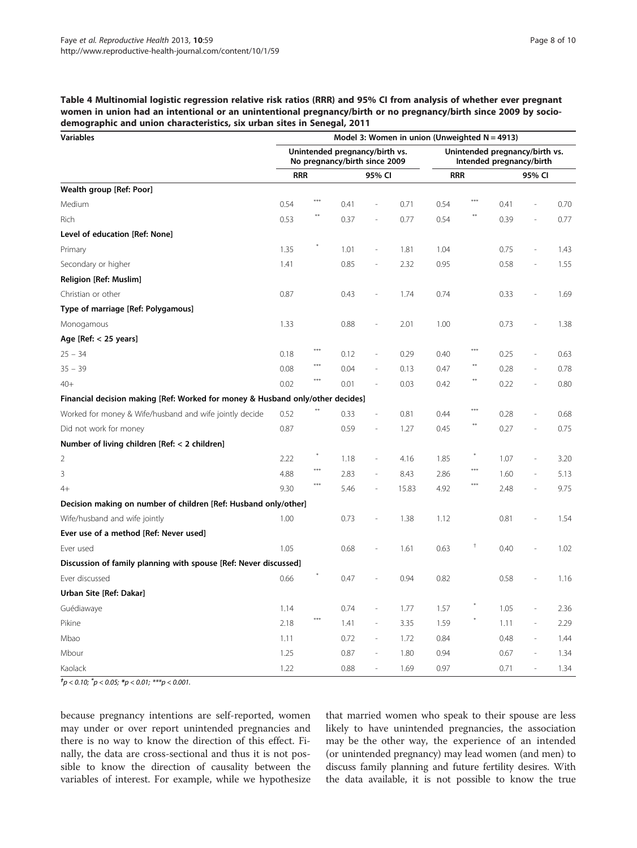<span id="page-7-0"></span>Table 4 Multinomial logistic regression relative risk ratios (RRR) and 95% CI from analysis of whether ever pregnant women in union had an intentional or an unintentional pregnancy/birth or no pregnancy/birth since 2009 by sociodemographic and union characteristics, six urban sites in Senegal, 2011

| <b>Variables</b>                                                               | Model 3: Women in union (Unweighted $N = 4913$ ) |            |                                                                 |                          |       |                                                            |            |      |        |      |  |  |
|--------------------------------------------------------------------------------|--------------------------------------------------|------------|-----------------------------------------------------------------|--------------------------|-------|------------------------------------------------------------|------------|------|--------|------|--|--|
|                                                                                |                                                  |            | Unintended pregnancy/birth vs.<br>No pregnancy/birth since 2009 |                          |       | Unintended pregnancy/birth vs.<br>Intended pregnancy/birth |            |      |        |      |  |  |
|                                                                                | <b>RRR</b>                                       |            | 95% CI                                                          |                          |       | <b>RRR</b>                                                 |            |      | 95% CI |      |  |  |
| Wealth group [Ref: Poor]                                                       |                                                  |            |                                                                 |                          |       |                                                            |            |      |        |      |  |  |
| Medium                                                                         | 0.54                                             | ***        | 0.41                                                            |                          | 0.71  | 0.54                                                       | $***$      | 0.41 |        | 0.70 |  |  |
| Rich                                                                           | 0.53                                             | $\ast\ast$ | 0.37                                                            | $\overline{a}$           | 0.77  | 0.54                                                       | **         | 0.39 |        | 0.77 |  |  |
| Level of education [Ref: None]                                                 |                                                  |            |                                                                 |                          |       |                                                            |            |      |        |      |  |  |
| Primary                                                                        | 1.35                                             |            | 1.01                                                            | $\overline{\phantom{a}}$ | 1.81  | 1.04                                                       |            | 0.75 |        | 1.43 |  |  |
| Secondary or higher                                                            | 1.41                                             |            | 0.85                                                            | i,                       | 2.32  | 0.95                                                       |            | 0.58 |        | 1.55 |  |  |
| Religion [Ref: Muslim]                                                         |                                                  |            |                                                                 |                          |       |                                                            |            |      |        |      |  |  |
| Christian or other                                                             | 0.87                                             |            | 0.43                                                            | $\overline{\phantom{a}}$ | 1.74  | 0.74                                                       |            | 0.33 |        | 1.69 |  |  |
| Type of marriage [Ref: Polygamous]                                             |                                                  |            |                                                                 |                          |       |                                                            |            |      |        |      |  |  |
| Monogamous                                                                     | 1.33                                             |            | 0.88                                                            | $\overline{\phantom{a}}$ | 2.01  | 1.00                                                       |            | 0.73 |        | 1.38 |  |  |
| Age [Ref: < 25 years]                                                          |                                                  |            |                                                                 |                          |       |                                                            |            |      |        |      |  |  |
| $25 - 34$                                                                      | 0.18                                             | $***$      | 0.12                                                            | $\frac{1}{2}$            | 0.29  | 0.40                                                       | ***        | 0.25 |        | 0.63 |  |  |
| $35 - 39$                                                                      | 0.08                                             | $***$      | 0.04                                                            | $\frac{1}{2}$            | 0.13  | 0.47                                                       | $***$      | 0.28 |        | 0.78 |  |  |
| $40+$                                                                          | 0.02                                             | $***$      | 0.01                                                            | $\overline{\phantom{a}}$ | 0.03  | 0.42                                                       | **         | 0.22 |        | 0.80 |  |  |
| Financial decision making [Ref: Worked for money & Husband only/other decides] |                                                  |            |                                                                 |                          |       |                                                            |            |      |        |      |  |  |
| Worked for money & Wife/husband and wife jointly decide                        | 0.52                                             |            | 0.33                                                            | $\overline{\phantom{a}}$ | 0.81  | 0.44                                                       | $***$      | 0.28 |        | 0.68 |  |  |
| Did not work for money                                                         | 0.87                                             |            | 0.59                                                            | $\frac{1}{2}$            | 1.27  | 0.45                                                       | $***$      | 0.27 |        | 0.75 |  |  |
| Number of living children [Ref: < 2 children]                                  |                                                  |            |                                                                 |                          |       |                                                            |            |      |        |      |  |  |
| 2                                                                              | 2.22                                             |            | 1.18                                                            | $\frac{1}{2}$            | 4.16  | 1.85                                                       |            | 1.07 |        | 3.20 |  |  |
| 3                                                                              | 4.88                                             | $***$      | 2.83                                                            | $\overline{\phantom{a}}$ | 8.43  | 2.86                                                       | $***$      | 1.60 |        | 5.13 |  |  |
| $4+$                                                                           | 9.30                                             | $***$      | 5.46                                                            | $\overline{a}$           | 15.83 | 4.92                                                       | $***$      | 2.48 |        | 9.75 |  |  |
| Decision making on number of children [Ref: Husband only/other]                |                                                  |            |                                                                 |                          |       |                                                            |            |      |        |      |  |  |
| Wife/husband and wife jointly                                                  | 1.00                                             |            | 0.73                                                            | $\overline{\phantom{a}}$ | 1.38  | 1.12                                                       |            | 0.81 |        | 1.54 |  |  |
| Ever use of a method [Ref: Never used]                                         |                                                  |            |                                                                 |                          |       |                                                            |            |      |        |      |  |  |
| Ever used                                                                      | 1.05                                             |            | 0.68                                                            | L.                       | 1.61  | 0.63                                                       | $^\dagger$ | 0.40 |        | 1.02 |  |  |
| Discussion of family planning with spouse [Ref: Never discussed]               |                                                  |            |                                                                 |                          |       |                                                            |            |      |        |      |  |  |
| Ever discussed                                                                 | 0.66                                             |            | 0.47                                                            | i,                       | 0.94  | 0.82                                                       |            | 0.58 |        | 1.16 |  |  |
| Urban Site [Ref: Dakar]                                                        |                                                  |            |                                                                 |                          |       |                                                            |            |      |        |      |  |  |
| Guédiawaye                                                                     | 1.14                                             |            | 0.74                                                            | $\frac{1}{2}$            | 1.77  | 1.57                                                       |            | 1.05 |        | 2.36 |  |  |
| Pikine                                                                         | 2.18                                             | $***$      | 1.41                                                            | $\overline{\phantom{a}}$ | 3.35  | 1.59                                                       |            | 1.11 |        | 2.29 |  |  |
| Mbao                                                                           | 1.11                                             |            | 0.72                                                            | $\overline{\phantom{a}}$ | 1.72  | 0.84                                                       |            | 0.48 | J.     | 1.44 |  |  |
| Mbour                                                                          | 1.25                                             |            | 0.87                                                            |                          | 1.80  | 0.94                                                       |            | 0.67 |        | 1.34 |  |  |
| Kaolack                                                                        | 1.22                                             |            | 0.88                                                            |                          | 1.69  | 0.97                                                       |            | 0.71 |        | 1.34 |  |  |

 $t_p < 0.10$ ;  $\degree p < 0.05$ ;  $\degree p < 0.01$ ;  $\degree \degree \degree p < 0.001$ .

because pregnancy intentions are self-reported, women may under or over report unintended pregnancies and there is no way to know the direction of this effect. Finally, the data are cross-sectional and thus it is not possible to know the direction of causality between the variables of interest. For example, while we hypothesize

that married women who speak to their spouse are less likely to have unintended pregnancies, the association may be the other way, the experience of an intended (or unintended pregnancy) may lead women (and men) to discuss family planning and future fertility desires. With the data available, it is not possible to know the true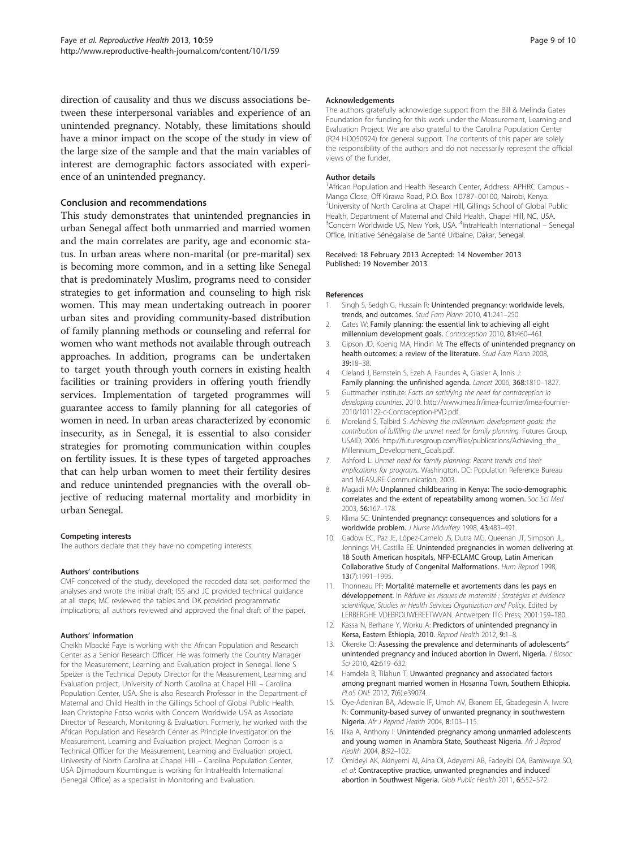<span id="page-8-0"></span>direction of causality and thus we discuss associations between these interpersonal variables and experience of an unintended pregnancy. Notably, these limitations should have a minor impact on the scope of the study in view of the large size of the sample and that the main variables of interest are demographic factors associated with experience of an unintended pregnancy.

#### Conclusion and recommendations

This study demonstrates that unintended pregnancies in urban Senegal affect both unmarried and married women and the main correlates are parity, age and economic status. In urban areas where non-marital (or pre-marital) sex is becoming more common, and in a setting like Senegal that is predominately Muslim, programs need to consider strategies to get information and counseling to high risk women. This may mean undertaking outreach in poorer urban sites and providing community-based distribution of family planning methods or counseling and referral for women who want methods not available through outreach approaches. In addition, programs can be undertaken to target youth through youth corners in existing health facilities or training providers in offering youth friendly services. Implementation of targeted programmes will guarantee access to family planning for all categories of women in need. In urban areas characterized by economic insecurity, as in Senegal, it is essential to also consider strategies for promoting communication within couples on fertility issues. It is these types of targeted approaches that can help urban women to meet their fertility desires and reduce unintended pregnancies with the overall objective of reducing maternal mortality and morbidity in urban Senegal.

#### Competing interests

The authors declare that they have no competing interests.

#### Authors' contributions

CMF conceived of the study, developed the recoded data set, performed the analyses and wrote the initial draft; ISS and JC provided technical guidance at all steps; MC reviewed the tables and DK provided programmatic implications; all authors reviewed and approved the final draft of the paper.

#### Authors' information

Cheikh Mbacké Faye is working with the African Population and Research Center as a Senior Research Officer. He was formerly the Country Manager for the Measurement, Learning and Evaluation project in Senegal. Ilene S Speizer is the Technical Deputy Director for the Measurement, Learning and Evaluation project, University of North Carolina at Chapel Hill – Carolina Population Center, USA. She is also Research Professor in the Department of Maternal and Child Health in the Gillings School of Global Public Health. Jean Christophe Fotso works with Concern Worldwide USA as Associate Director of Research, Monitoring & Evaluation. Formerly, he worked with the African Population and Research Center as Principle Investigator on the Measurement, Learning and Evaluation project. Meghan Corroon is a Technical Officer for the Measurement, Learning and Evaluation project, University of North Carolina at Chapel Hill – Carolina Population Center, USA Djimadoum Koumtingue is working for IntraHealth International (Senegal Office) as a specialist in Monitoring and Evaluation.

#### Acknowledgements

The authors gratefully acknowledge support from the Bill & Melinda Gates Foundation for funding for this work under the Measurement, Learning and Evaluation Project. We are also grateful to the Carolina Population Center (R24 HD050924) for general support. The contents of this paper are solely the responsibility of the authors and do not necessarily represent the official views of the funder.

#### Author details

<sup>1</sup> African Population and Health Research Center, Address: APHRC Campus -Manga Close, Off Kirawa Road, P.O. Box 10787–00100, Nairobi, Kenya. <sup>2</sup> <sup>2</sup>University of North Carolina at Chapel Hill, Gillings School of Global Public Health, Department of Maternal and Child Health, Chapel Hill, NC, USA. <sup>3</sup> Concern Worldwide US, New York, USA. <sup>4</sup>IntraHealth International - Senegal Office, Initiative Sénégalaise de Santé Urbaine, Dakar, Senegal.

#### Received: 18 February 2013 Accepted: 14 November 2013 Published: 19 November 2013

#### References

- 1. Singh S, Sedgh G, Hussain R: Unintended pregnancy: worldwide levels, trends, and outcomes. Stud Fam Plann 2010, 41:241–250.
- 2. Cates W: Family planning: the essential link to achieving all eight millennium development goals. Contraception 2010, 81:460–461.
- Gipson JD, Koenig MA, Hindin M: The effects of unintended pregnancy on health outcomes: a review of the literature. Stud Fam Plann 2008, 39:18–38.
- 4. Cleland J, Bernstein S, Ezeh A, Faundes A, Glasier A, Innis J: Family planning: the unfinished agenda. Lancet 2006, 368:1810–1827.
- 5. Guttmacher Institute: Facts on satisfying the need for contraception in developing countries. 2010. [http://www.imea.fr/imea-fournier/imea-fournier-](http://www.imea.fr/imea-fournier/imea-fournier-2010/101122-c-Contraception-PVD.pdf)[2010/101122-c-Contraception-PVD.pdf.](http://www.imea.fr/imea-fournier/imea-fournier-2010/101122-c-Contraception-PVD.pdf)
- 6. Moreland S, Talbird S: Achieving the millennium development goals: the contribution of fulfilling the unmet need for family planning. Futures Group, USAID; 2006. [http://futuresgroup.com/files/publications/Achieving\\_the\\_](http://futuresgroup.com/files/publications/Achieving_the_Millennium_Development_Goals.pdf) [Millennium\\_Development\\_Goals.pdf.](http://futuresgroup.com/files/publications/Achieving_the_Millennium_Development_Goals.pdf)
- 7. Ashford L: Unmet need for family planning: Recent trends and their implications for programs. Washington, DC: Population Reference Bureau and MEASURE Communication; 2003.
- 8. Magadi MA: Unplanned childbearing in Kenya: The socio-demographic correlates and the extent of repeatability among women. Soc Sci Med 2003, 56:167–178.
- 9. Klima SC: Unintended pregnancy: consequences and solutions for a worldwide problem. J Nurse Midwifery 1998, 43:483–491.
- 10. Gadow EC, Paz JE, López-Camelo JS, Dutra MG, Queenan JT, Simpson JL, Jennings VH, Castilla EE: Unintended pregnancies in women delivering at 18 South American hospitals, NFP-ECLAMC Group, Latin American Collaborative Study of Congenital Malformations. Hum Reprod 1998, 13(7):1991–1995.
- 11. Thonneau PF: Mortalité maternelle et avortements dans les pays en développement. In Réduire les risques de maternité : Stratégies et évidence scientifique, Studies in Health Services Organization and Policy. Edited by LERBERGHE VDEBROUWEREETWVAN. Antwerpen: ITG Press; 2001:159–180.
- 12. Kassa N, Berhane Y, Worku A: Predictors of unintended pregnancy in Kersa, Eastern Ethiopia, 2010. Reprod Health 2012, 9:1–8.
- 13. Okereke CI: Assessing the prevalence and determinants of adolescents" unintended pregnancy and induced abortion in Owerri, Nigeria. J Biosoc Sci 2010, 42:619–632.
- 14. Hamdela B, Tilahun T: Unwanted pregnancy and associated factors among pregnant married women in Hosanna Town, Southern Ethiopia. PLoS ONE 2012, 7(6):e39074.
- 15. Oye-Adeniran BA, Adewole IF, Umoh AV, Ekanem EE, Gbadegesin A, Iwere N: Community-based survey of unwanted pregnancy in southwestern Nigeria. Afr J Reprod Health 2004, 8:103–115.
- 16. Ilika A, Anthony I: Unintended pregnancy among unmarried adolescents and young women in Anambra State, Southeast Nigeria. Afr J Reprod Health 2004, 8:92–102.
- 17. Omideyi AK, Akinyemi AI, Aina OI, Adeyemi AB, Fadeyibi OA, Bamiwuye SO, et al: Contraceptive practice, unwanted pregnancies and induced abortion in Southwest Nigeria. Glob Public Health 2011, 6:S52-S72.